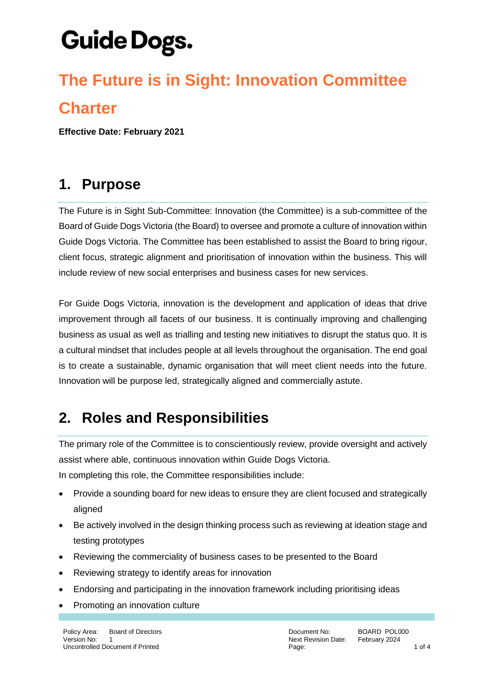### **The Future is in Sight: Innovation Committee Charter**

**Effective Date: February 2021**

#### **1. Purpose**

The Future is in Sight Sub-Committee: Innovation (the Committee) is a sub-committee of the Board of Guide Dogs Victoria (the Board) to oversee and promote a culture of innovation within Guide Dogs Victoria. The Committee has been established to assist the Board to bring rigour, client focus, strategic alignment and prioritisation of innovation within the business. This will include review of new social enterprises and business cases for new services.

For Guide Dogs Victoria, innovation is the development and application of ideas that drive improvement through all facets of our business. It is continually improving and challenging business as usual as well as trialling and testing new initiatives to disrupt the status quo. It is a cultural mindset that includes people at all levels throughout the organisation. The end goal is to create a sustainable, dynamic organisation that will meet client needs into the future. Innovation will be purpose led, strategically aligned and commercially astute.

#### **2. Roles and Responsibilities**

The primary role of the Committee is to conscientiously review, provide oversight and actively assist where able, continuous innovation within Guide Dogs Victoria. In completing this role, the Committee responsibilities include:

- Provide a sounding board for new ideas to ensure they are client focused and strategically aligned
- Be actively involved in the design thinking process such as reviewing at ideation stage and testing prototypes
- Reviewing the commerciality of business cases to be presented to the Board
- Reviewing strategy to identify areas for innovation
- Endorsing and participating in the innovation framework including prioritising ideas
- Promoting an innovation culture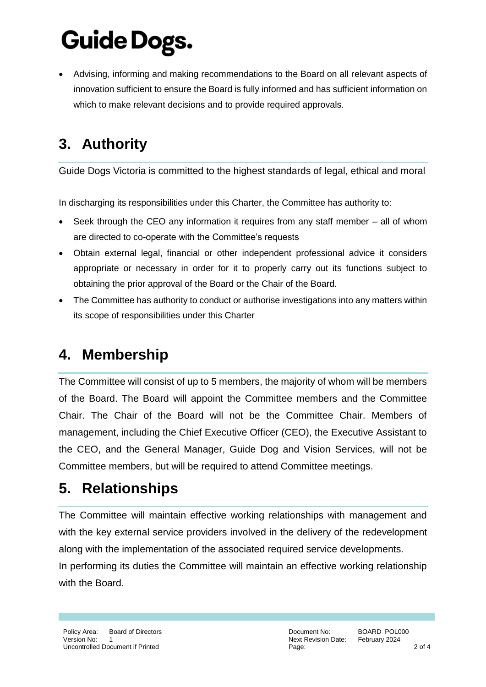Advising, informing and making recommendations to the Board on all relevant aspects of innovation sufficient to ensure the Board is fully informed and has sufficient information on which to make relevant decisions and to provide required approvals.

### **3. Authority**

Guide Dogs Victoria is committed to the highest standards of legal, ethical and moral

In discharging its responsibilities under this Charter, the Committee has authority to:

- Seek through the CEO any information it requires from any staff member all of whom are directed to co-operate with the Committee's requests
- Obtain external legal, financial or other independent professional advice it considers appropriate or necessary in order for it to properly carry out its functions subject to obtaining the prior approval of the Board or the Chair of the Board.
- The Committee has authority to conduct or authorise investigations into any matters within its scope of responsibilities under this Charter

### **4. Membership**

The Committee will consist of up to 5 members, the majority of whom will be members of the Board. The Board will appoint the Committee members and the Committee Chair. The Chair of the Board will not be the Committee Chair. Members of management, including the Chief Executive Officer (CEO), the Executive Assistant to the CEO, and the General Manager, Guide Dog and Vision Services, will not be Committee members, but will be required to attend Committee meetings.

#### **5. Relationships**

The Committee will maintain effective working relationships with management and with the key external service providers involved in the delivery of the redevelopment along with the implementation of the associated required service developments. In performing its duties the Committee will maintain an effective working relationship with the Board.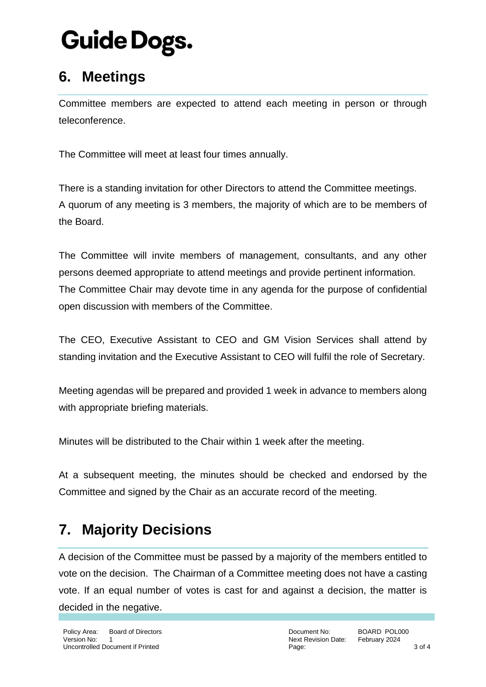#### **6. Meetings**

Committee members are expected to attend each meeting in person or through teleconference.

The Committee will meet at least four times annually.

There is a standing invitation for other Directors to attend the Committee meetings. A quorum of any meeting is 3 members, the majority of which are to be members of the Board.

The Committee will invite members of management, consultants, and any other persons deemed appropriate to attend meetings and provide pertinent information. The Committee Chair may devote time in any agenda for the purpose of confidential open discussion with members of the Committee.

The CEO, Executive Assistant to CEO and GM Vision Services shall attend by standing invitation and the Executive Assistant to CEO will fulfil the role of Secretary.

Meeting agendas will be prepared and provided 1 week in advance to members along with appropriate briefing materials.

Minutes will be distributed to the Chair within 1 week after the meeting.

At a subsequent meeting, the minutes should be checked and endorsed by the Committee and signed by the Chair as an accurate record of the meeting.

#### **7. Majority Decisions**

A decision of the Committee must be passed by a majority of the members entitled to vote on the decision. The Chairman of a Committee meeting does not have a casting vote. If an equal number of votes is cast for and against a decision, the matter is decided in the negative.